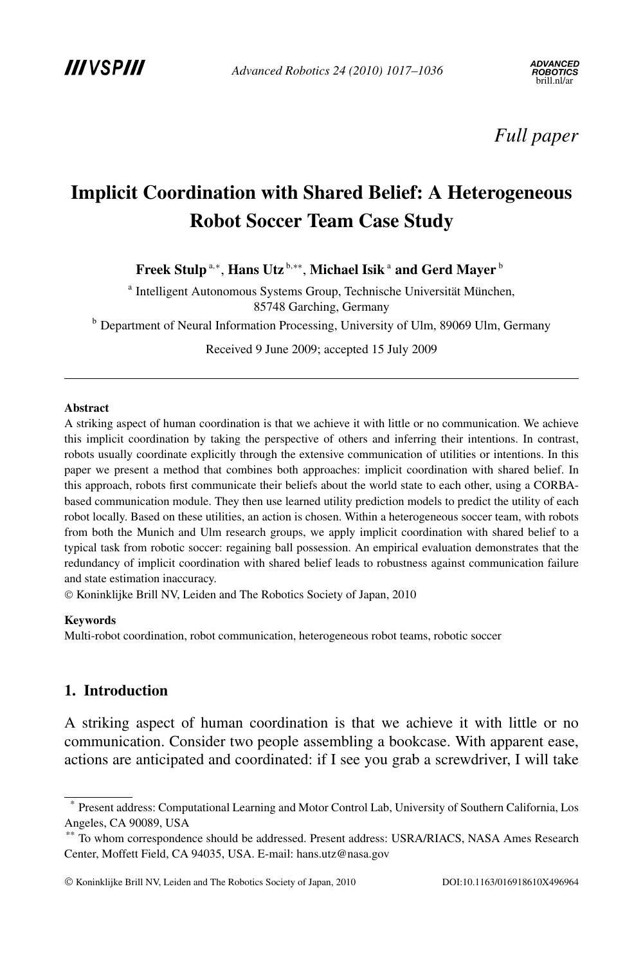*Full paper*

# **Implicit Coordination with Shared Belief: A Heterogeneous Robot Soccer Team Case Study**

**Freek Stulp** <sup>a</sup>*,*<sup>∗</sup> , **Hans Utz** <sup>b</sup>*,*∗∗, **Michael Isik** <sup>a</sup> **and Gerd Mayer** <sup>b</sup>

<sup>a</sup> Intelligent Autonomous Systems Group, Technische Universität München, 85748 Garching, Germany

<sup>b</sup> Department of Neural Information Processing, University of Ulm, 89069 Ulm, Germany

Received 9 June 2009; accepted 15 July 2009

#### **Abstract**

A striking aspect of human coordination is that we achieve it with little or no communication. We achieve this implicit coordination by taking the perspective of others and inferring their intentions. In contrast, robots usually coordinate explicitly through the extensive communication of utilities or intentions. In this paper we present a method that combines both approaches: implicit coordination with shared belief. In this approach, robots first communicate their beliefs about the world state to each other, using a CORBAbased communication module. They then use learned utility prediction models to predict the utility of each robot locally. Based on these utilities, an action is chosen. Within a heterogeneous soccer team, with robots from both the Munich and Ulm research groups, we apply implicit coordination with shared belief to a typical task from robotic soccer: regaining ball possession. An empirical evaluation demonstrates that the redundancy of implicit coordination with shared belief leads to robustness against communication failure and state estimation inaccuracy.

© Koninklijke Brill NV, Leiden and The Robotics Society of Japan, 2010

#### **Keywords**

Multi-robot coordination, robot communication, heterogeneous robot teams, robotic soccer

# **1. Introduction**

A striking aspect of human coordination is that we achieve it with little or no communication. Consider two people assembling a bookcase. With apparent ease, actions are anticipated and coordinated: if I see you grab a screwdriver, I will take

<sup>\*</sup> Present address: Computational Learning and Motor Control Lab, University of Southern California, Los Angeles, CA 90089, USA

<sup>\*\*</sup> To whom correspondence should be addressed. Present address: USRA/RIACS, NASA Ames Research Center, Moffett Field, CA 94035, USA. E-mail: hans.utz@nasa.gov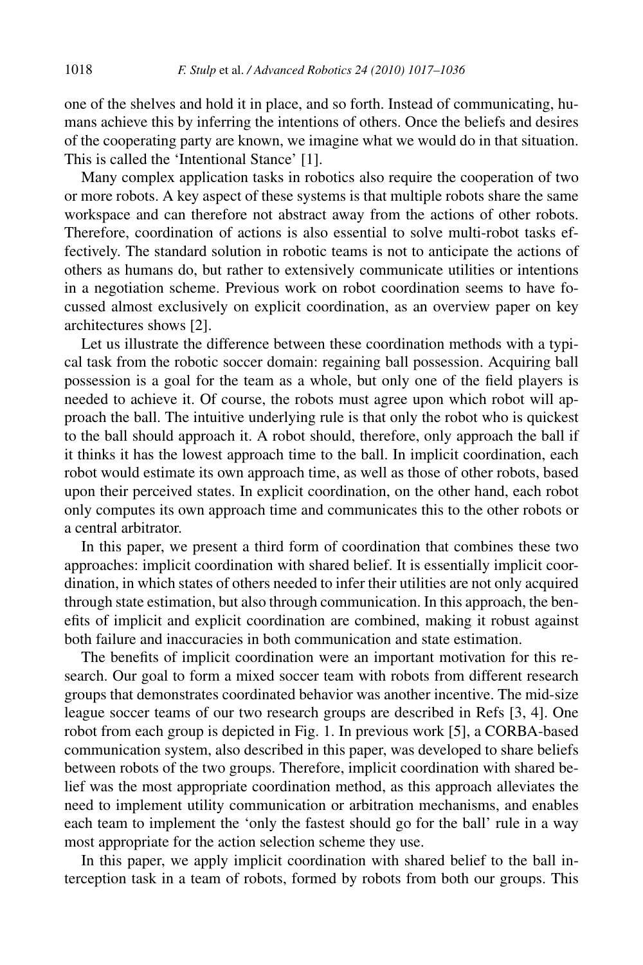one of the shelves and hold it in place, and so forth. Instead of communicating, humans achieve this by inferring the intentions of others. Once the beliefs and desires of the cooperating party are known, we imagine what we would do in that situation. This is called the 'Intentional Stance' [1].

Many complex application tasks in robotics also require the cooperation of two or more robots. A key aspect of these systems is that multiple robots share the same workspace and can therefore not abstract away from the actions of other robots. Therefore, coordination of actions is also essential to solve multi-robot tasks effectively. The standard solution in robotic teams is not to anticipate the actions of others as humans do, but rather to extensively communicate utilities or intentions in a negotiation scheme. Previous work on robot coordination seems to have focussed almost exclusively on explicit coordination, as an overview paper on key architectures shows [2].

Let us illustrate the difference between these coordination methods with a typical task from the robotic soccer domain: regaining ball possession. Acquiring ball possession is a goal for the team as a whole, but only one of the field players is needed to achieve it. Of course, the robots must agree upon which robot will approach the ball. The intuitive underlying rule is that only the robot who is quickest to the ball should approach it. A robot should, therefore, only approach the ball if it thinks it has the lowest approach time to the ball. In implicit coordination, each robot would estimate its own approach time, as well as those of other robots, based upon their perceived states. In explicit coordination, on the other hand, each robot only computes its own approach time and communicates this to the other robots or a central arbitrator.

In this paper, we present a third form of coordination that combines these two approaches: implicit coordination with shared belief. It is essentially implicit coordination, in which states of others needed to infer their utilities are not only acquired through state estimation, but also through communication. In this approach, the benefits of implicit and explicit coordination are combined, making it robust against both failure and inaccuracies in both communication and state estimation.

The benefits of implicit coordination were an important motivation for this research. Our goal to form a mixed soccer team with robots from different research groups that demonstrates coordinated behavior was another incentive. The mid-size league soccer teams of our two research groups are described in Refs [3, 4]. One robot from each group is depicted in Fig. 1. In previous work [5], a CORBA-based communication system, also described in this paper, was developed to share beliefs between robots of the two groups. Therefore, implicit coordination with shared belief was the most appropriate coordination method, as this approach alleviates the need to implement utility communication or arbitration mechanisms, and enables each team to implement the 'only the fastest should go for the ball' rule in a way most appropriate for the action selection scheme they use.

In this paper, we apply implicit coordination with shared belief to the ball interception task in a team of robots, formed by robots from both our groups. This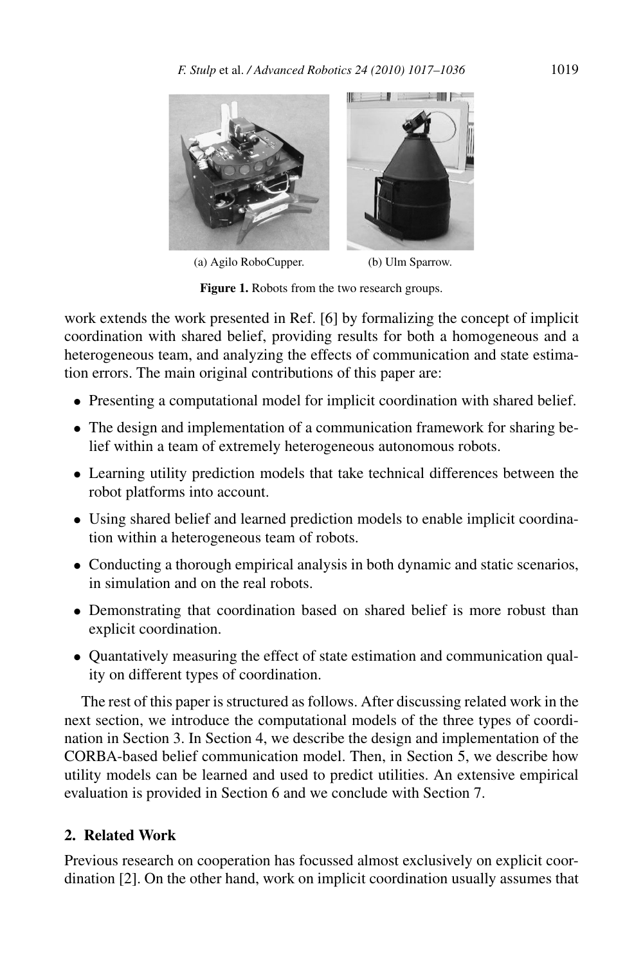

**Figure 1.** Robots from the two research groups.

work extends the work presented in Ref. [6] by formalizing the concept of implicit coordination with shared belief, providing results for both a homogeneous and a heterogeneous team, and analyzing the effects of communication and state estimation errors. The main original contributions of this paper are:

- Presenting a computational model for implicit coordination with shared belief.
- The design and implementation of a communication framework for sharing belief within a team of extremely heterogeneous autonomous robots.
- Learning utility prediction models that take technical differences between the robot platforms into account.
- Using shared belief and learned prediction models to enable implicit coordination within a heterogeneous team of robots.
- Conducting a thorough empirical analysis in both dynamic and static scenarios, in simulation and on the real robots.
- Demonstrating that coordination based on shared belief is more robust than explicit coordination.
- Quantatively measuring the effect of state estimation and communication quality on different types of coordination.

The rest of this paper is structured as follows. After discussing related work in the next section, we introduce the computational models of the three types of coordination in Section 3. In Section 4, we describe the design and implementation of the CORBA-based belief communication model. Then, in Section 5, we describe how utility models can be learned and used to predict utilities. An extensive empirical evaluation is provided in Section 6 and we conclude with Section 7.

# **2. Related Work**

Previous research on cooperation has focussed almost exclusively on explicit coordination [2]. On the other hand, work on implicit coordination usually assumes that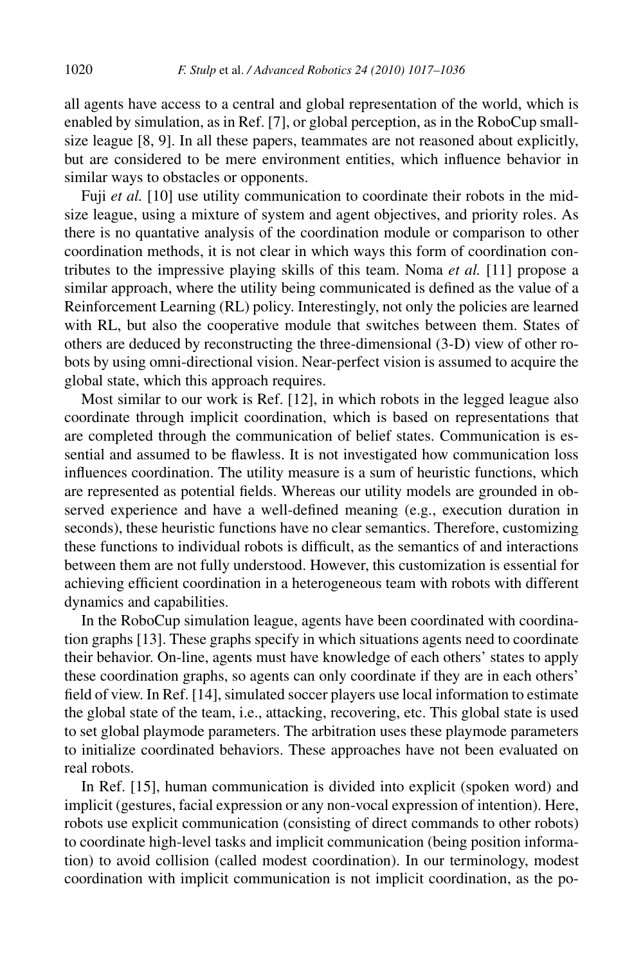all agents have access to a central and global representation of the world, which is enabled by simulation, as in Ref. [7], or global perception, as in the RoboCup smallsize league [8, 9]. In all these papers, teammates are not reasoned about explicitly, but are considered to be mere environment entities, which influence behavior in similar ways to obstacles or opponents.

Fuji *et al.* [10] use utility communication to coordinate their robots in the midsize league, using a mixture of system and agent objectives, and priority roles. As there is no quantative analysis of the coordination module or comparison to other coordination methods, it is not clear in which ways this form of coordination contributes to the impressive playing skills of this team. Noma *et al.* [11] propose a similar approach, where the utility being communicated is defined as the value of a Reinforcement Learning (RL) policy. Interestingly, not only the policies are learned with RL, but also the cooperative module that switches between them. States of others are deduced by reconstructing the three-dimensional (3-D) view of other robots by using omni-directional vision. Near-perfect vision is assumed to acquire the global state, which this approach requires.

Most similar to our work is Ref. [12], in which robots in the legged league also coordinate through implicit coordination, which is based on representations that are completed through the communication of belief states. Communication is essential and assumed to be flawless. It is not investigated how communication loss influences coordination. The utility measure is a sum of heuristic functions, which are represented as potential fields. Whereas our utility models are grounded in observed experience and have a well-defined meaning (e.g., execution duration in seconds), these heuristic functions have no clear semantics. Therefore, customizing these functions to individual robots is difficult, as the semantics of and interactions between them are not fully understood. However, this customization is essential for achieving efficient coordination in a heterogeneous team with robots with different dynamics and capabilities.

In the RoboCup simulation league, agents have been coordinated with coordination graphs [13]. These graphs specify in which situations agents need to coordinate their behavior. On-line, agents must have knowledge of each others' states to apply these coordination graphs, so agents can only coordinate if they are in each others' field of view. In Ref. [14], simulated soccer players use local information to estimate the global state of the team, i.e., attacking, recovering, etc. This global state is used to set global playmode parameters. The arbitration uses these playmode parameters to initialize coordinated behaviors. These approaches have not been evaluated on real robots.

In Ref. [15], human communication is divided into explicit (spoken word) and implicit (gestures, facial expression or any non-vocal expression of intention). Here, robots use explicit communication (consisting of direct commands to other robots) to coordinate high-level tasks and implicit communication (being position information) to avoid collision (called modest coordination). In our terminology, modest coordination with implicit communication is not implicit coordination, as the po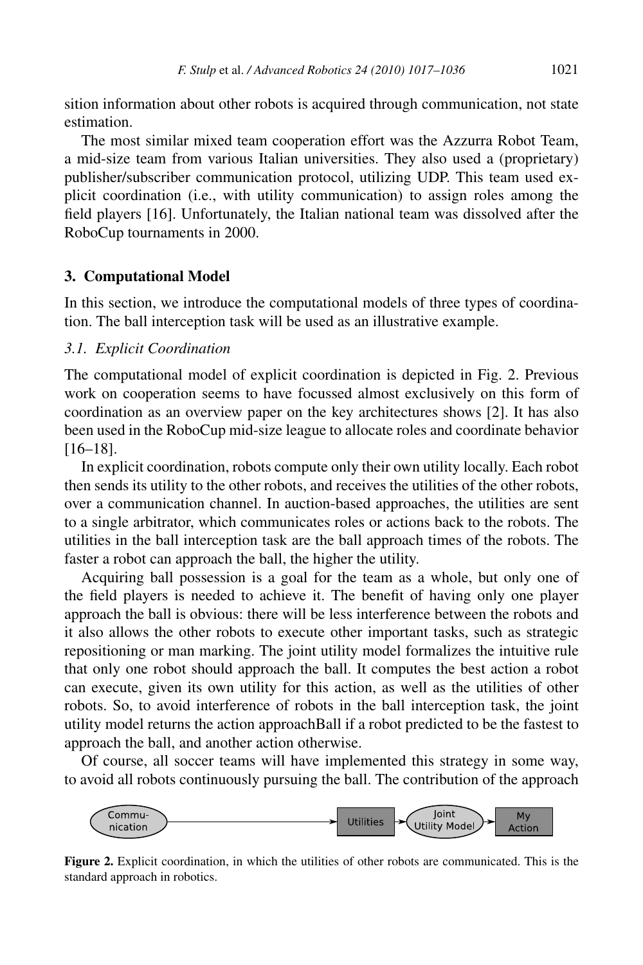sition information about other robots is acquired through communication, not state estimation.

The most similar mixed team cooperation effort was the Azzurra Robot Team, a mid-size team from various Italian universities. They also used a (proprietary) publisher/subscriber communication protocol, utilizing UDP. This team used explicit coordination (i.e., with utility communication) to assign roles among the field players [16]. Unfortunately, the Italian national team was dissolved after the RoboCup tournaments in 2000.

#### **3. Computational Model**

In this section, we introduce the computational models of three types of coordination. The ball interception task will be used as an illustrative example.

#### *3.1. Explicit Coordination*

The computational model of explicit coordination is depicted in Fig. 2. Previous work on cooperation seems to have focussed almost exclusively on this form of coordination as an overview paper on the key architectures shows [2]. It has also been used in the RoboCup mid-size league to allocate roles and coordinate behavior [16–18].

In explicit coordination, robots compute only their own utility locally. Each robot then sends its utility to the other robots, and receives the utilities of the other robots, over a communication channel. In auction-based approaches, the utilities are sent to a single arbitrator, which communicates roles or actions back to the robots. The utilities in the ball interception task are the ball approach times of the robots. The faster a robot can approach the ball, the higher the utility.

Acquiring ball possession is a goal for the team as a whole, but only one of the field players is needed to achieve it. The benefit of having only one player approach the ball is obvious: there will be less interference between the robots and it also allows the other robots to execute other important tasks, such as strategic repositioning or man marking. The joint utility model formalizes the intuitive rule that only one robot should approach the ball. It computes the best action a robot can execute, given its own utility for this action, as well as the utilities of other robots. So, to avoid interference of robots in the ball interception task, the joint utility model returns the action approachBall if a robot predicted to be the fastest to approach the ball, and another action otherwise.

Of course, all soccer teams will have implemented this strategy in some way, to avoid all robots continuously pursuing the ball. The contribution of the approach



**Figure 2.** Explicit coordination, in which the utilities of other robots are communicated. This is the standard approach in robotics.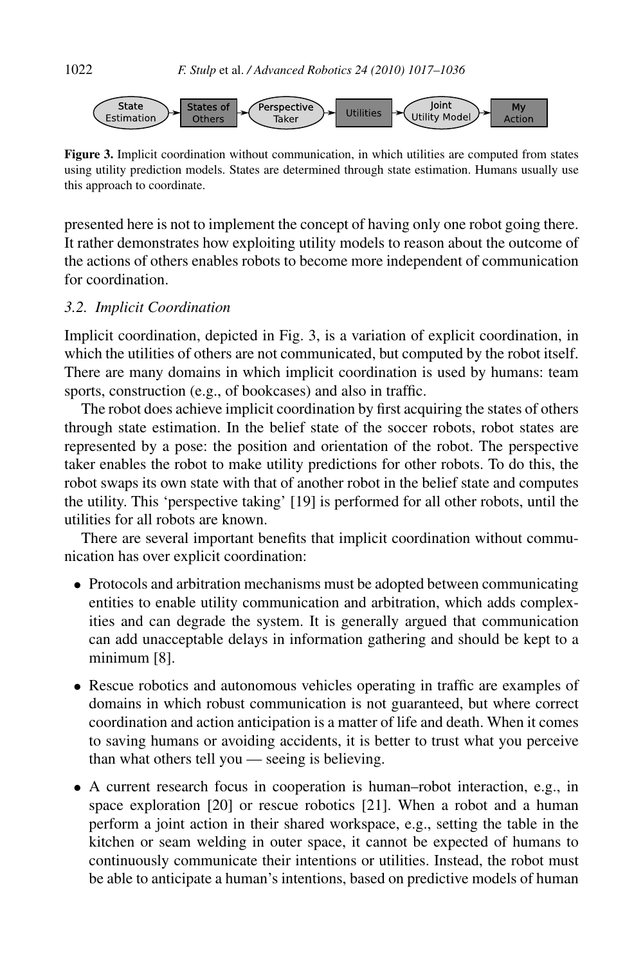

**Figure 3.** Implicit coordination without communication, in which utilities are computed from states using utility prediction models. States are determined through state estimation. Humans usually use this approach to coordinate.

presented here is not to implement the concept of having only one robot going there. It rather demonstrates how exploiting utility models to reason about the outcome of the actions of others enables robots to become more independent of communication for coordination.

## *3.2. Implicit Coordination*

Implicit coordination, depicted in Fig. 3, is a variation of explicit coordination, in which the utilities of others are not communicated, but computed by the robot itself. There are many domains in which implicit coordination is used by humans: team sports, construction (e.g., of bookcases) and also in traffic.

The robot does achieve implicit coordination by first acquiring the states of others through state estimation. In the belief state of the soccer robots, robot states are represented by a pose: the position and orientation of the robot. The perspective taker enables the robot to make utility predictions for other robots. To do this, the robot swaps its own state with that of another robot in the belief state and computes the utility. This 'perspective taking' [19] is performed for all other robots, until the utilities for all robots are known.

There are several important benefits that implicit coordination without communication has over explicit coordination:

- Protocols and arbitration mechanisms must be adopted between communicating entities to enable utility communication and arbitration, which adds complexities and can degrade the system. It is generally argued that communication can add unacceptable delays in information gathering and should be kept to a minimum [8].
- Rescue robotics and autonomous vehicles operating in traffic are examples of domains in which robust communication is not guaranteed, but where correct coordination and action anticipation is a matter of life and death. When it comes to saving humans or avoiding accidents, it is better to trust what you perceive than what others tell you — seeing is believing.
- A current research focus in cooperation is human–robot interaction, e.g., in space exploration [20] or rescue robotics [21]. When a robot and a human perform a joint action in their shared workspace, e.g., setting the table in the kitchen or seam welding in outer space, it cannot be expected of humans to continuously communicate their intentions or utilities. Instead, the robot must be able to anticipate a human's intentions, based on predictive models of human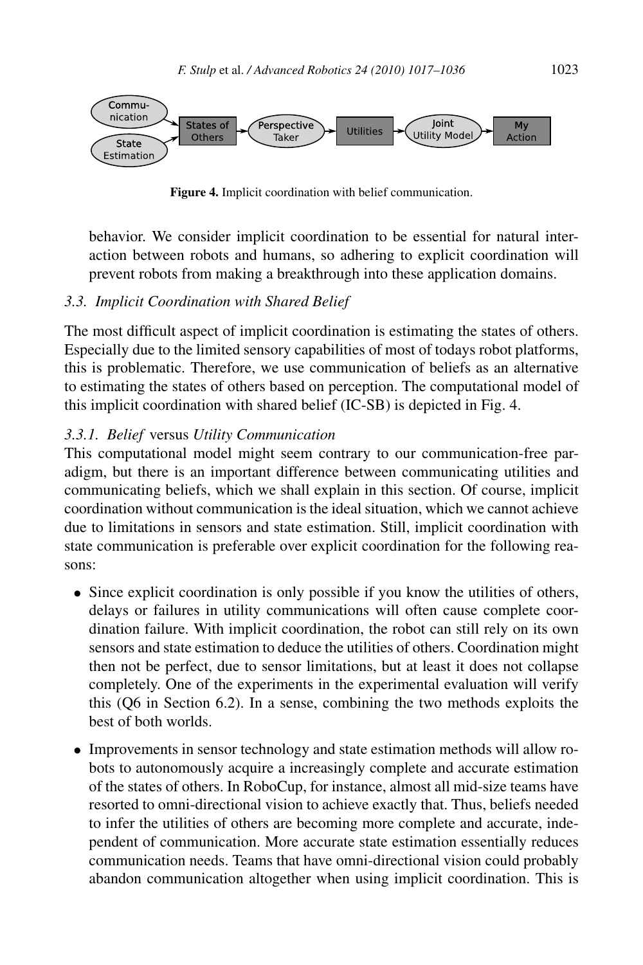

**Figure 4.** Implicit coordination with belief communication.

behavior. We consider implicit coordination to be essential for natural interaction between robots and humans, so adhering to explicit coordination will prevent robots from making a breakthrough into these application domains.

# *3.3. Implicit Coordination with Shared Belief*

The most difficult aspect of implicit coordination is estimating the states of others. Especially due to the limited sensory capabilities of most of todays robot platforms, this is problematic. Therefore, we use communication of beliefs as an alternative to estimating the states of others based on perception. The computational model of this implicit coordination with shared belief (IC-SB) is depicted in Fig. 4.

# *3.3.1. Belief* versus *Utility Communication*

This computational model might seem contrary to our communication-free paradigm, but there is an important difference between communicating utilities and communicating beliefs, which we shall explain in this section. Of course, implicit coordination without communication is the ideal situation, which we cannot achieve due to limitations in sensors and state estimation. Still, implicit coordination with state communication is preferable over explicit coordination for the following reasons:

- Since explicit coordination is only possible if you know the utilities of others, delays or failures in utility communications will often cause complete coordination failure. With implicit coordination, the robot can still rely on its own sensors and state estimation to deduce the utilities of others. Coordination might then not be perfect, due to sensor limitations, but at least it does not collapse completely. One of the experiments in the experimental evaluation will verify this (Q6 in Section 6.2). In a sense, combining the two methods exploits the best of both worlds.
- Improvements in sensor technology and state estimation methods will allow robots to autonomously acquire a increasingly complete and accurate estimation of the states of others. In RoboCup, for instance, almost all mid-size teams have resorted to omni-directional vision to achieve exactly that. Thus, beliefs needed to infer the utilities of others are becoming more complete and accurate, independent of communication. More accurate state estimation essentially reduces communication needs. Teams that have omni-directional vision could probably abandon communication altogether when using implicit coordination. This is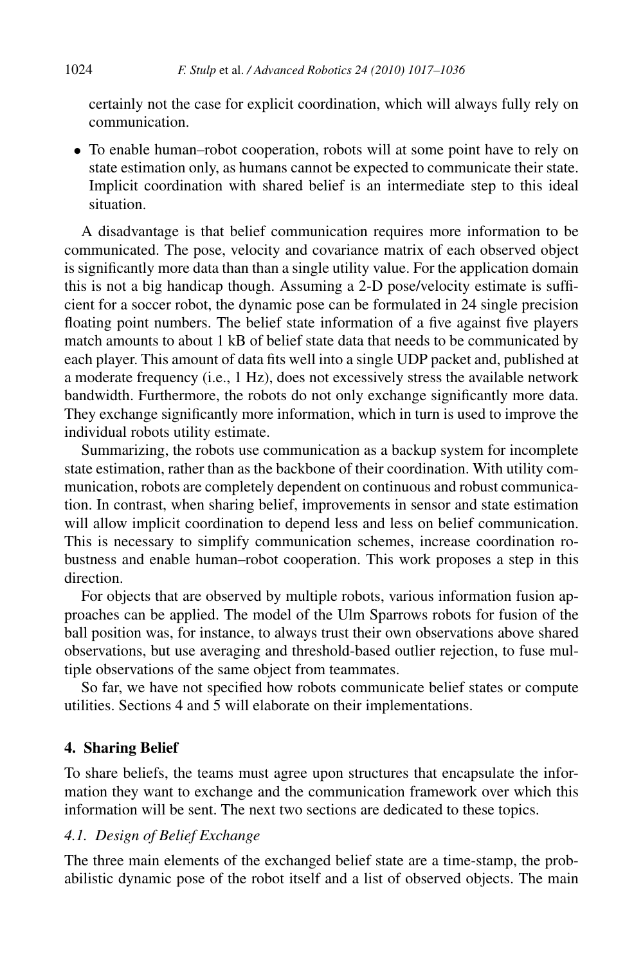certainly not the case for explicit coordination, which will always fully rely on communication.

• To enable human–robot cooperation, robots will at some point have to rely on state estimation only, as humans cannot be expected to communicate their state. Implicit coordination with shared belief is an intermediate step to this ideal situation.

A disadvantage is that belief communication requires more information to be communicated. The pose, velocity and covariance matrix of each observed object is significantly more data than than a single utility value. For the application domain this is not a big handicap though. Assuming a 2-D pose/velocity estimate is sufficient for a soccer robot, the dynamic pose can be formulated in 24 single precision floating point numbers. The belief state information of a five against five players match amounts to about 1 kB of belief state data that needs to be communicated by each player. This amount of data fits well into a single UDP packet and, published at a moderate frequency (i.e., 1 Hz), does not excessively stress the available network bandwidth. Furthermore, the robots do not only exchange significantly more data. They exchange significantly more information, which in turn is used to improve the individual robots utility estimate.

Summarizing, the robots use communication as a backup system for incomplete state estimation, rather than as the backbone of their coordination. With utility communication, robots are completely dependent on continuous and robust communication. In contrast, when sharing belief, improvements in sensor and state estimation will allow implicit coordination to depend less and less on belief communication. This is necessary to simplify communication schemes, increase coordination robustness and enable human–robot cooperation. This work proposes a step in this direction.

For objects that are observed by multiple robots, various information fusion approaches can be applied. The model of the Ulm Sparrows robots for fusion of the ball position was, for instance, to always trust their own observations above shared observations, but use averaging and threshold-based outlier rejection, to fuse multiple observations of the same object from teammates.

So far, we have not specified how robots communicate belief states or compute utilities. Sections 4 and 5 will elaborate on their implementations.

# **4. Sharing Belief**

To share beliefs, the teams must agree upon structures that encapsulate the information they want to exchange and the communication framework over which this information will be sent. The next two sections are dedicated to these topics.

# *4.1. Design of Belief Exchange*

The three main elements of the exchanged belief state are a time-stamp, the probabilistic dynamic pose of the robot itself and a list of observed objects. The main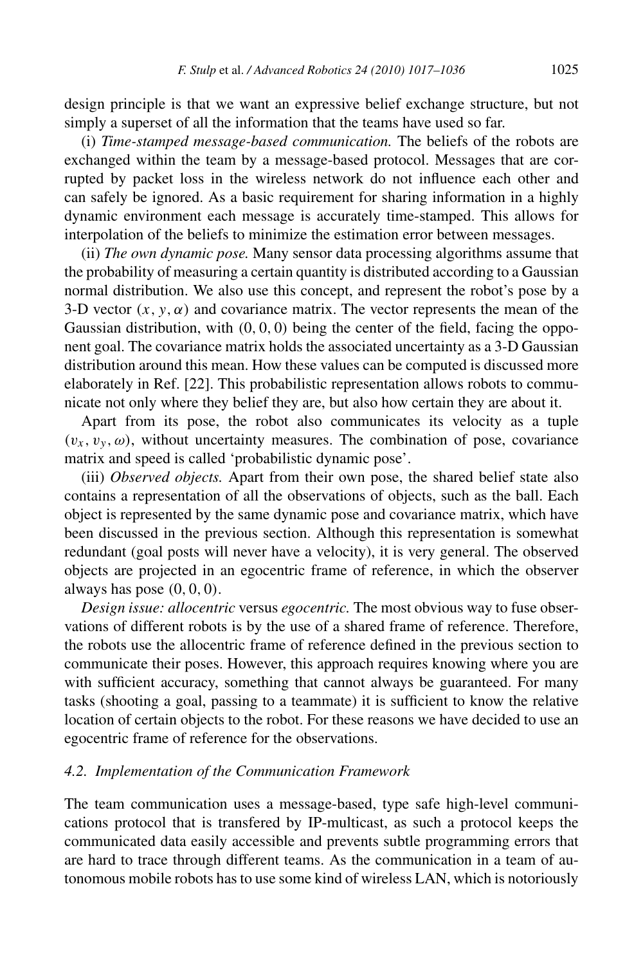design principle is that we want an expressive belief exchange structure, but not simply a superset of all the information that the teams have used so far.

(i) *Time-stamped message-based communication.* The beliefs of the robots are exchanged within the team by a message-based protocol. Messages that are corrupted by packet loss in the wireless network do not influence each other and can safely be ignored. As a basic requirement for sharing information in a highly dynamic environment each message is accurately time-stamped. This allows for interpolation of the beliefs to minimize the estimation error between messages.

(ii) *The own dynamic pose.* Many sensor data processing algorithms assume that the probability of measuring a certain quantity is distributed according to a Gaussian normal distribution. We also use this concept, and represent the robot's pose by a 3-D vector  $(x, y, \alpha)$  and covariance matrix. The vector represents the mean of the Gaussian distribution, with *(*0*,* 0*,* 0*)* being the center of the field, facing the opponent goal. The covariance matrix holds the associated uncertainty as a 3-D Gaussian distribution around this mean. How these values can be computed is discussed more elaborately in Ref. [22]. This probabilistic representation allows robots to communicate not only where they belief they are, but also how certain they are about it.

Apart from its pose, the robot also communicates its velocity as a tuple  $(v_x, v_y, \omega)$ , without uncertainty measures. The combination of pose, covariance matrix and speed is called 'probabilistic dynamic pose'.

(iii) *Observed objects.* Apart from their own pose, the shared belief state also contains a representation of all the observations of objects, such as the ball. Each object is represented by the same dynamic pose and covariance matrix, which have been discussed in the previous section. Although this representation is somewhat redundant (goal posts will never have a velocity), it is very general. The observed objects are projected in an egocentric frame of reference, in which the observer always has pose *(*0*,* 0*,* 0*)*.

*Design issue: allocentric* versus *egocentric.* The most obvious way to fuse observations of different robots is by the use of a shared frame of reference. Therefore, the robots use the allocentric frame of reference defined in the previous section to communicate their poses. However, this approach requires knowing where you are with sufficient accuracy, something that cannot always be guaranteed. For many tasks (shooting a goal, passing to a teammate) it is sufficient to know the relative location of certain objects to the robot. For these reasons we have decided to use an egocentric frame of reference for the observations.

# *4.2. Implementation of the Communication Framework*

The team communication uses a message-based, type safe high-level communications protocol that is transfered by IP-multicast, as such a protocol keeps the communicated data easily accessible and prevents subtle programming errors that are hard to trace through different teams. As the communication in a team of autonomous mobile robots has to use some kind of wireless LAN, which is notoriously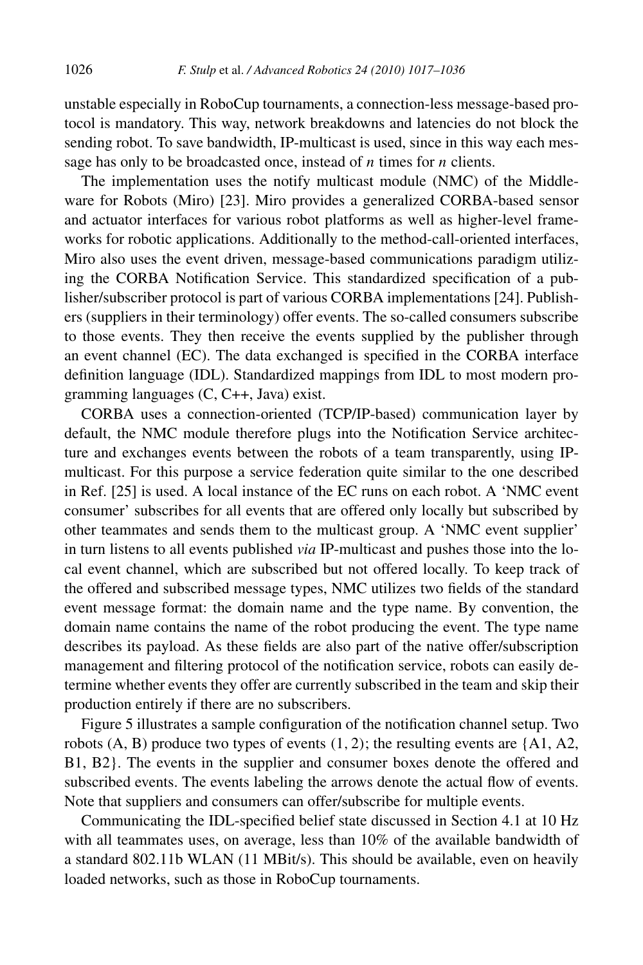unstable especially in RoboCup tournaments, a connection-less message-based protocol is mandatory. This way, network breakdowns and latencies do not block the sending robot. To save bandwidth, IP-multicast is used, since in this way each message has only to be broadcasted once, instead of *n* times for *n* clients.

The implementation uses the notify multicast module (NMC) of the Middleware for Robots (Miro) [23]. Miro provides a generalized CORBA-based sensor and actuator interfaces for various robot platforms as well as higher-level frameworks for robotic applications. Additionally to the method-call-oriented interfaces, Miro also uses the event driven, message-based communications paradigm utilizing the CORBA Notification Service. This standardized specification of a publisher/subscriber protocol is part of various CORBA implementations [24]. Publishers (suppliers in their terminology) offer events. The so-called consumers subscribe to those events. They then receive the events supplied by the publisher through an event channel (EC). The data exchanged is specified in the CORBA interface definition language (IDL). Standardized mappings from IDL to most modern programming languages (C, C++, Java) exist.

CORBA uses a connection-oriented (TCP/IP-based) communication layer by default, the NMC module therefore plugs into the Notification Service architecture and exchanges events between the robots of a team transparently, using IPmulticast. For this purpose a service federation quite similar to the one described in Ref. [25] is used. A local instance of the EC runs on each robot. A 'NMC event consumer' subscribes for all events that are offered only locally but subscribed by other teammates and sends them to the multicast group. A 'NMC event supplier' in turn listens to all events published *via* IP-multicast and pushes those into the local event channel, which are subscribed but not offered locally. To keep track of the offered and subscribed message types, NMC utilizes two fields of the standard event message format: the domain name and the type name. By convention, the domain name contains the name of the robot producing the event. The type name describes its payload. As these fields are also part of the native offer/subscription management and filtering protocol of the notification service, robots can easily determine whether events they offer are currently subscribed in the team and skip their production entirely if there are no subscribers.

Figure 5 illustrates a sample configuration of the notification channel setup. Two robots (A, B) produce two types of events *(*1*,* 2*)*; the resulting events are {A1, A2, B1, B2}. The events in the supplier and consumer boxes denote the offered and subscribed events. The events labeling the arrows denote the actual flow of events. Note that suppliers and consumers can offer/subscribe for multiple events.

Communicating the IDL-specified belief state discussed in Section 4.1 at 10 Hz with all teammates uses, on average, less than 10% of the available bandwidth of a standard 802.11b WLAN (11 MBit/s). This should be available, even on heavily loaded networks, such as those in RoboCup tournaments.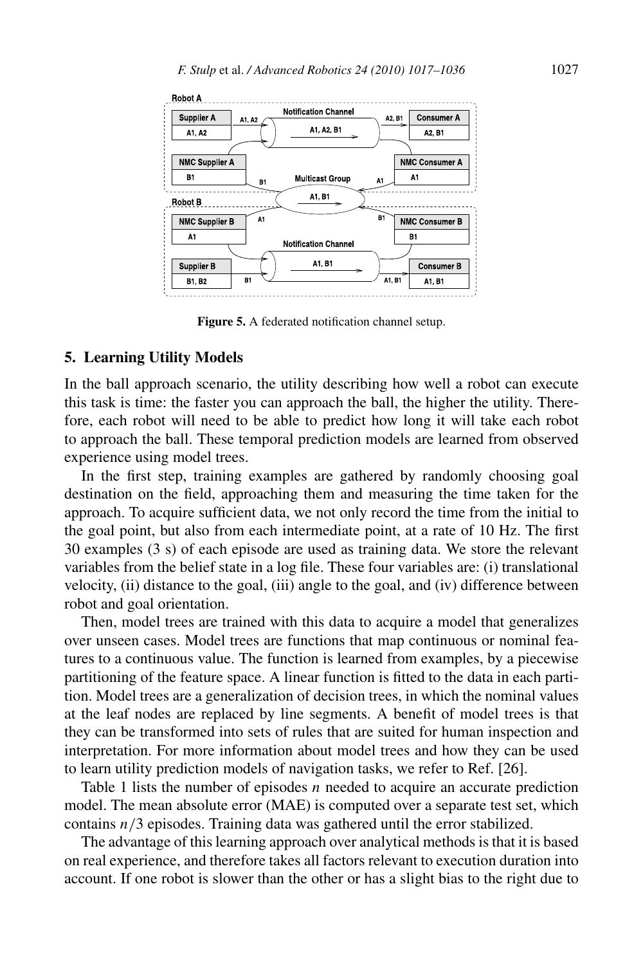

**Figure 5.** A federated notification channel setup.

#### **5. Learning Utility Models**

In the ball approach scenario, the utility describing how well a robot can execute this task is time: the faster you can approach the ball, the higher the utility. Therefore, each robot will need to be able to predict how long it will take each robot to approach the ball. These temporal prediction models are learned from observed experience using model trees.

In the first step, training examples are gathered by randomly choosing goal destination on the field, approaching them and measuring the time taken for the approach. To acquire sufficient data, we not only record the time from the initial to the goal point, but also from each intermediate point, at a rate of 10 Hz. The first 30 examples (3 s) of each episode are used as training data. We store the relevant variables from the belief state in a log file. These four variables are: (i) translational velocity, (ii) distance to the goal, (iii) angle to the goal, and (iv) difference between robot and goal orientation.

Then, model trees are trained with this data to acquire a model that generalizes over unseen cases. Model trees are functions that map continuous or nominal features to a continuous value. The function is learned from examples, by a piecewise partitioning of the feature space. A linear function is fitted to the data in each partition. Model trees are a generalization of decision trees, in which the nominal values at the leaf nodes are replaced by line segments. A benefit of model trees is that they can be transformed into sets of rules that are suited for human inspection and interpretation. For more information about model trees and how they can be used to learn utility prediction models of navigation tasks, we refer to Ref. [26].

Table 1 lists the number of episodes *n* needed to acquire an accurate prediction model. The mean absolute error (MAE) is computed over a separate test set, which contains *n/*3 episodes. Training data was gathered until the error stabilized.

The advantage of this learning approach over analytical methods is that it is based on real experience, and therefore takes all factors relevant to execution duration into account. If one robot is slower than the other or has a slight bias to the right due to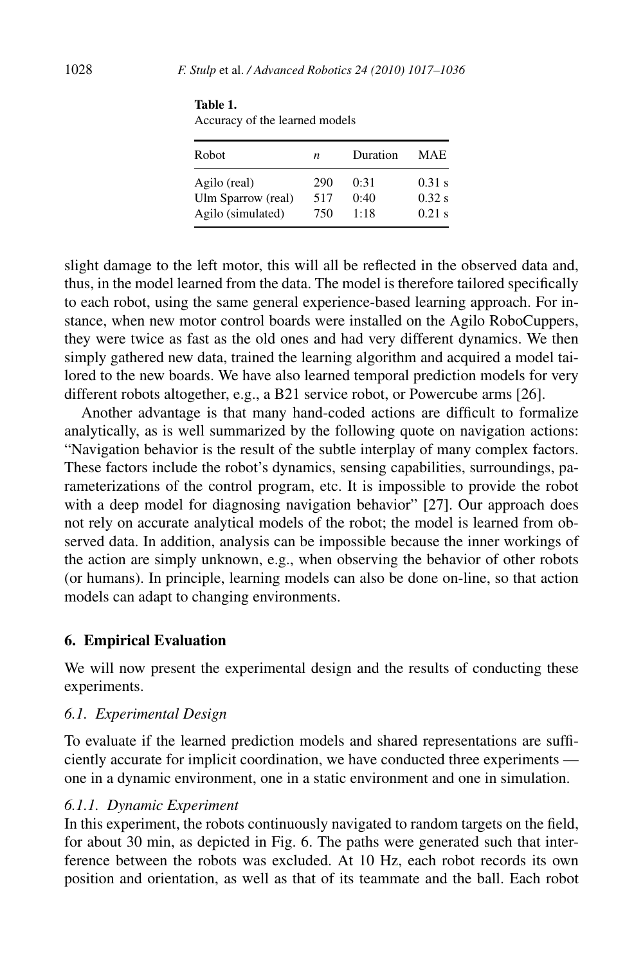| <b>Robot</b>       | n   | Duration | MAE      |
|--------------------|-----|----------|----------|
| Agilo (real)       | 290 | 0:31     | 0.31 s   |
| Ulm Sparrow (real) | 517 | 0:40     | 0.32 s   |
| Agilo (simulated)  | 750 | 1:18     | $0.21$ s |

**Table 1.** Accuracy of the learned models

slight damage to the left motor, this will all be reflected in the observed data and, thus, in the model learned from the data. The model is therefore tailored specifically to each robot, using the same general experience-based learning approach. For instance, when new motor control boards were installed on the Agilo RoboCuppers, they were twice as fast as the old ones and had very different dynamics. We then simply gathered new data, trained the learning algorithm and acquired a model tailored to the new boards. We have also learned temporal prediction models for very different robots altogether, e.g., a B21 service robot, or Powercube arms [26].

Another advantage is that many hand-coded actions are difficult to formalize analytically, as is well summarized by the following quote on navigation actions: "Navigation behavior is the result of the subtle interplay of many complex factors. These factors include the robot's dynamics, sensing capabilities, surroundings, parameterizations of the control program, etc. It is impossible to provide the robot with a deep model for diagnosing navigation behavior" [27]. Our approach does not rely on accurate analytical models of the robot; the model is learned from observed data. In addition, analysis can be impossible because the inner workings of the action are simply unknown, e.g., when observing the behavior of other robots (or humans). In principle, learning models can also be done on-line, so that action models can adapt to changing environments.

#### **6. Empirical Evaluation**

We will now present the experimental design and the results of conducting these experiments.

#### *6.1. Experimental Design*

To evaluate if the learned prediction models and shared representations are sufficiently accurate for implicit coordination, we have conducted three experiments one in a dynamic environment, one in a static environment and one in simulation.

#### *6.1.1. Dynamic Experiment*

In this experiment, the robots continuously navigated to random targets on the field, for about 30 min, as depicted in Fig. 6. The paths were generated such that interference between the robots was excluded. At 10 Hz, each robot records its own position and orientation, as well as that of its teammate and the ball. Each robot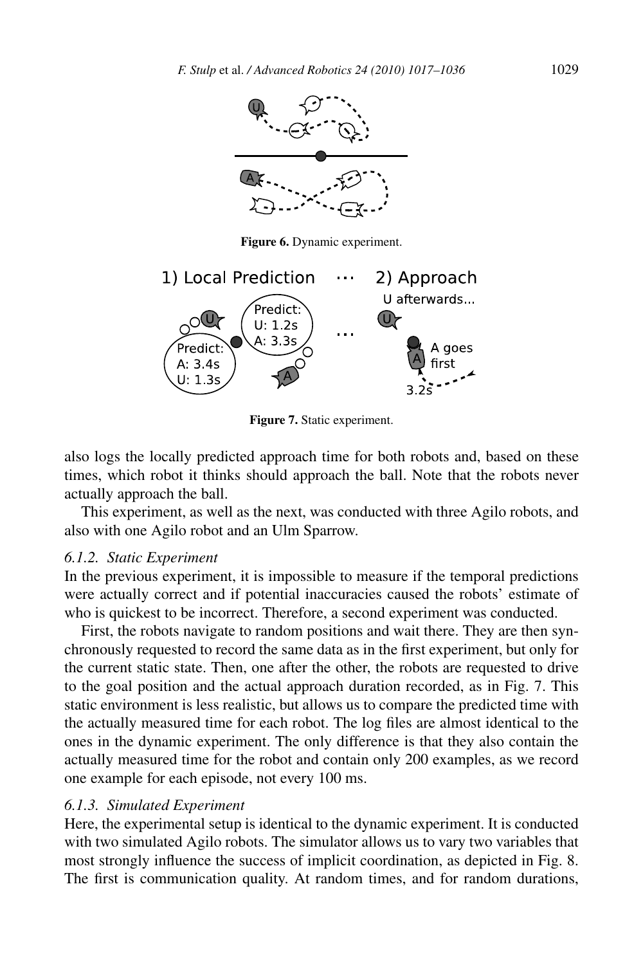

**Figure 6.** Dynamic experiment.



**Figure 7.** Static experiment.

also logs the locally predicted approach time for both robots and, based on these times, which robot it thinks should approach the ball. Note that the robots never actually approach the ball.

This experiment, as well as the next, was conducted with three Agilo robots, and also with one Agilo robot and an Ulm Sparrow.

#### *6.1.2. Static Experiment*

In the previous experiment, it is impossible to measure if the temporal predictions were actually correct and if potential inaccuracies caused the robots' estimate of who is quickest to be incorrect. Therefore, a second experiment was conducted.

First, the robots navigate to random positions and wait there. They are then synchronously requested to record the same data as in the first experiment, but only for the current static state. Then, one after the other, the robots are requested to drive to the goal position and the actual approach duration recorded, as in Fig. 7. This static environment is less realistic, but allows us to compare the predicted time with the actually measured time for each robot. The log files are almost identical to the ones in the dynamic experiment. The only difference is that they also contain the actually measured time for the robot and contain only 200 examples, as we record one example for each episode, not every 100 ms.

## *6.1.3. Simulated Experiment*

Here, the experimental setup is identical to the dynamic experiment. It is conducted with two simulated Agilo robots. The simulator allows us to vary two variables that most strongly influence the success of implicit coordination, as depicted in Fig. 8. The first is communication quality. At random times, and for random durations,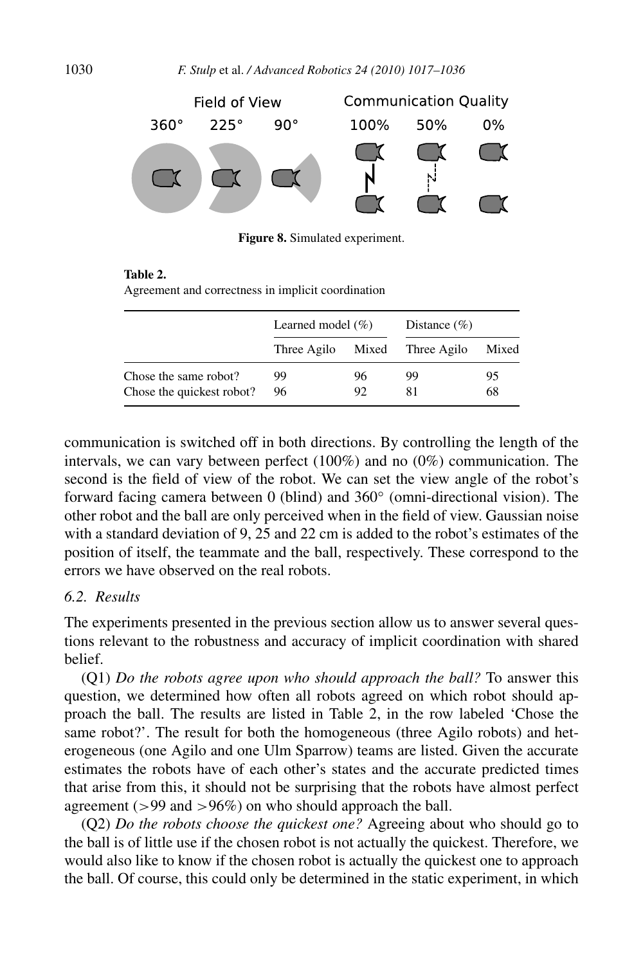

**Figure 8.** Simulated experiment.

| яn |  |
|----|--|
|----|--|

Agreement and correctness in implicit coordination

|                                                    | Learned model $(\% )$ |          | Distance $(\% )$ |          |
|----------------------------------------------------|-----------------------|----------|------------------|----------|
|                                                    | Three Agilo Mixed     |          | Three Agilo      | Mixed    |
| Chose the same robot?<br>Chose the quickest robot? | 99<br>96              | 96<br>92 | 99<br>81         | 95<br>68 |

communication is switched off in both directions. By controlling the length of the intervals, we can vary between perfect (100%) and no (0%) communication. The second is the field of view of the robot. We can set the view angle of the robot's forward facing camera between 0 (blind) and 360◦ (omni-directional vision). The other robot and the ball are only perceived when in the field of view. Gaussian noise with a standard deviation of 9, 25 and 22 cm is added to the robot's estimates of the position of itself, the teammate and the ball, respectively. These correspond to the errors we have observed on the real robots.

## *6.2. Results*

The experiments presented in the previous section allow us to answer several questions relevant to the robustness and accuracy of implicit coordination with shared belief.

(Q1) *Do the robots agree upon who should approach the ball?* To answer this question, we determined how often all robots agreed on which robot should approach the ball. The results are listed in Table 2, in the row labeled 'Chose the same robot?'. The result for both the homogeneous (three Agilo robots) and heterogeneous (one Agilo and one Ulm Sparrow) teams are listed. Given the accurate estimates the robots have of each other's states and the accurate predicted times that arise from this, it should not be surprising that the robots have almost perfect agreement (*>*99 and *>*96%) on who should approach the ball.

(Q2) *Do the robots choose the quickest one?* Agreeing about who should go to the ball is of little use if the chosen robot is not actually the quickest. Therefore, we would also like to know if the chosen robot is actually the quickest one to approach the ball. Of course, this could only be determined in the static experiment, in which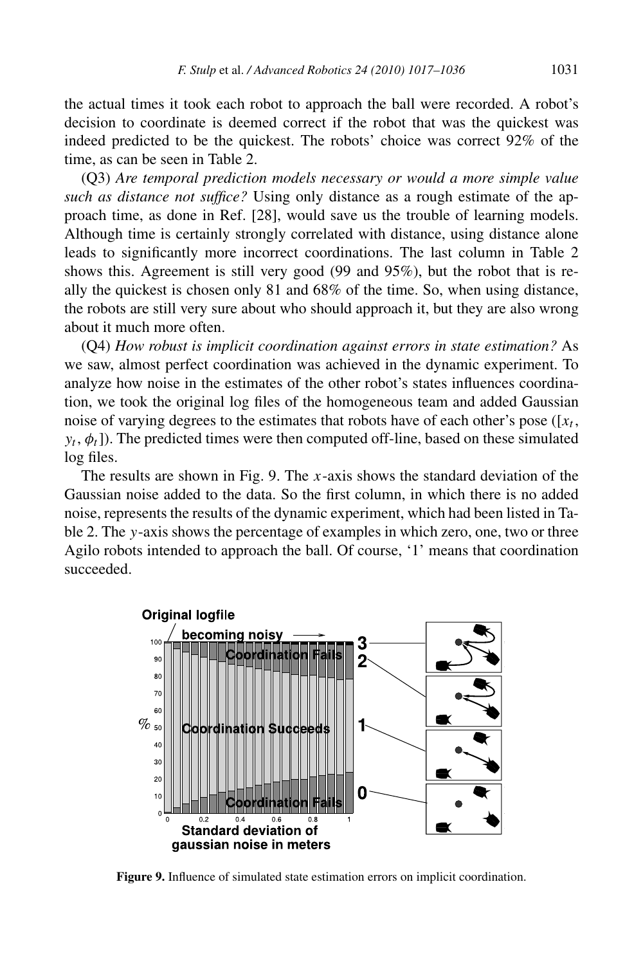the actual times it took each robot to approach the ball were recorded. A robot's decision to coordinate is deemed correct if the robot that was the quickest was indeed predicted to be the quickest. The robots' choice was correct 92% of the time, as can be seen in Table 2.

(Q3) *Are temporal prediction models necessary or would a more simple value such as distance not suffice?* Using only distance as a rough estimate of the approach time, as done in Ref. [28], would save us the trouble of learning models. Although time is certainly strongly correlated with distance, using distance alone leads to significantly more incorrect coordinations. The last column in Table 2 shows this. Agreement is still very good (99 and 95%), but the robot that is really the quickest is chosen only 81 and 68% of the time. So, when using distance, the robots are still very sure about who should approach it, but they are also wrong about it much more often.

(Q4) *How robust is implicit coordination against errors in state estimation?* As we saw, almost perfect coordination was achieved in the dynamic experiment. To analyze how noise in the estimates of the other robot's states influences coordination, we took the original log files of the homogeneous team and added Gaussian noise of varying degrees to the estimates that robots have of each other's pose ( $[x_t,$  $y_t$ ,  $\phi_t$ ]). The predicted times were then computed off-line, based on these simulated log files.

The results are shown in Fig. 9. The *x*-axis shows the standard deviation of the Gaussian noise added to the data. So the first column, in which there is no added noise, represents the results of the dynamic experiment, which had been listed in Table 2. The *y*-axis shows the percentage of examples in which zero, one, two or three Agilo robots intended to approach the ball. Of course, '1' means that coordination succeeded.



**Figure 9.** Influence of simulated state estimation errors on implicit coordination.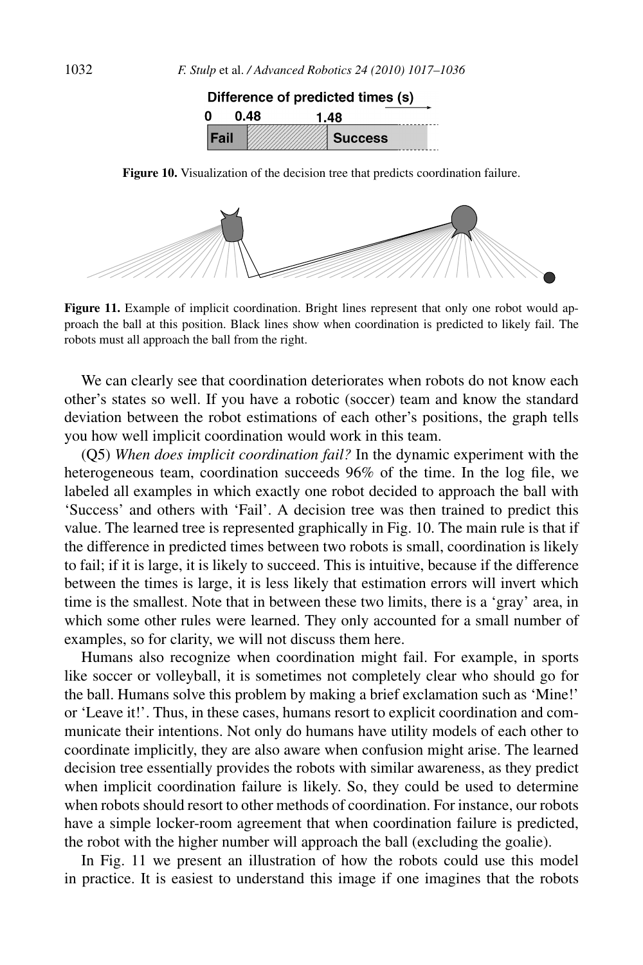

**Figure 10.** Visualization of the decision tree that predicts coordination failure.



**Figure 11.** Example of implicit coordination. Bright lines represent that only one robot would approach the ball at this position. Black lines show when coordination is predicted to likely fail. The robots must all approach the ball from the right.

We can clearly see that coordination deteriorates when robots do not know each other's states so well. If you have a robotic (soccer) team and know the standard deviation between the robot estimations of each other's positions, the graph tells you how well implicit coordination would work in this team.

(Q5) *When does implicit coordination fail?* In the dynamic experiment with the heterogeneous team, coordination succeeds 96% of the time. In the log file, we labeled all examples in which exactly one robot decided to approach the ball with 'Success' and others with 'Fail'. A decision tree was then trained to predict this value. The learned tree is represented graphically in Fig. 10. The main rule is that if the difference in predicted times between two robots is small, coordination is likely to fail; if it is large, it is likely to succeed. This is intuitive, because if the difference between the times is large, it is less likely that estimation errors will invert which time is the smallest. Note that in between these two limits, there is a 'gray' area, in which some other rules were learned. They only accounted for a small number of examples, so for clarity, we will not discuss them here.

Humans also recognize when coordination might fail. For example, in sports like soccer or volleyball, it is sometimes not completely clear who should go for the ball. Humans solve this problem by making a brief exclamation such as 'Mine!' or 'Leave it!'. Thus, in these cases, humans resort to explicit coordination and communicate their intentions. Not only do humans have utility models of each other to coordinate implicitly, they are also aware when confusion might arise. The learned decision tree essentially provides the robots with similar awareness, as they predict when implicit coordination failure is likely. So, they could be used to determine when robots should resort to other methods of coordination. For instance, our robots have a simple locker-room agreement that when coordination failure is predicted, the robot with the higher number will approach the ball (excluding the goalie).

In Fig. 11 we present an illustration of how the robots could use this model in practice. It is easiest to understand this image if one imagines that the robots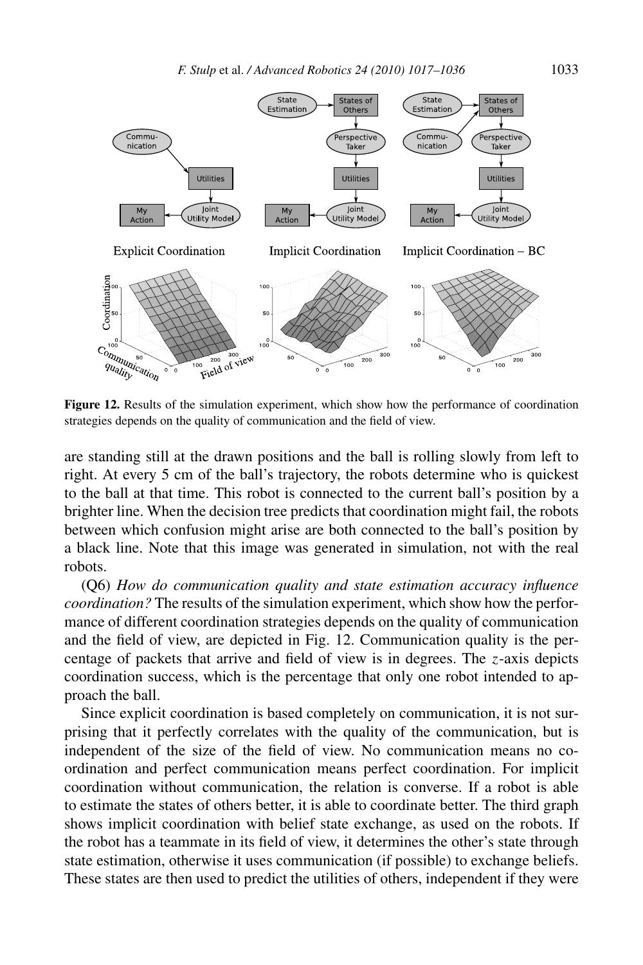

**Figure 12.** Results of the simulation experiment, which show how the performance of coordination strategies depends on the quality of communication and the field of view.

are standing still at the drawn positions and the ball is rolling slowly from left to right. At every 5 cm of the ball's trajectory, the robots determine who is quickest to the ball at that time. This robot is connected to the current ball's position by a brighter line. When the decision tree predicts that coordination might fail, the robots between which confusion might arise are both connected to the ball's position by a black line. Note that this image was generated in simulation, not with the real robots.

(Q6) *How do communication quality and state estimation accuracy influence coordination?* The results of the simulation experiment, which show how the performance of different coordination strategies depends on the quality of communication and the field of view, are depicted in Fig. 12. Communication quality is the percentage of packets that arrive and field of view is in degrees. The *z*-axis depicts coordination success, which is the percentage that only one robot intended to approach the ball.

Since explicit coordination is based completely on communication, it is not surprising that it perfectly correlates with the quality of the communication, but is independent of the size of the field of view. No communication means no coordination and perfect communication means perfect coordination. For implicit coordination without communication, the relation is converse. If a robot is able to estimate the states of others better, it is able to coordinate better. The third graph shows implicit coordination with belief state exchange, as used on the robots. If the robot has a teammate in its field of view, it determines the other's state through state estimation, otherwise it uses communication (if possible) to exchange beliefs. These states are then used to predict the utilities of others, independent if they were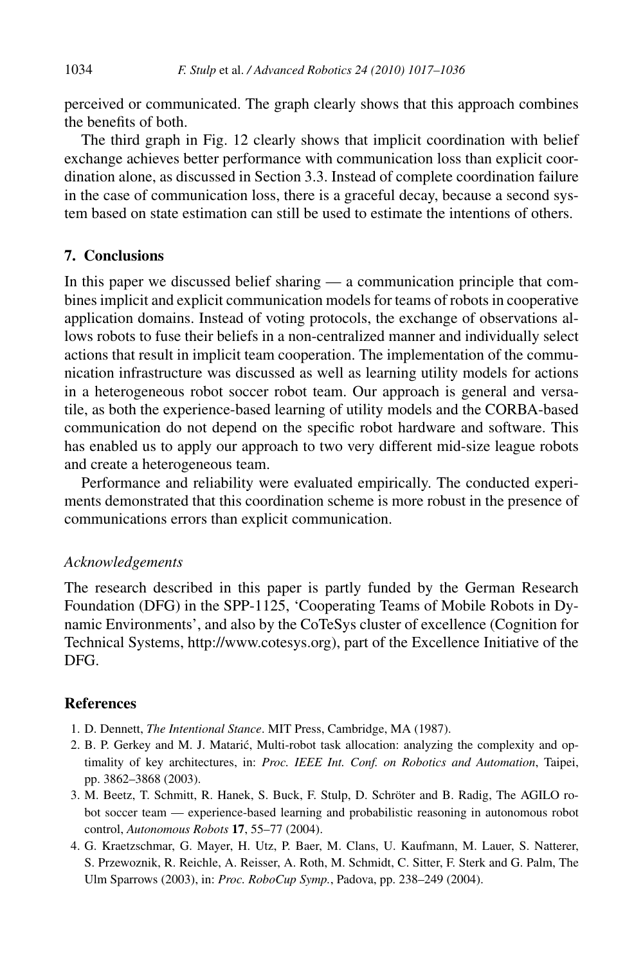perceived or communicated. The graph clearly shows that this approach combines the benefits of both.

The third graph in Fig. 12 clearly shows that implicit coordination with belief exchange achieves better performance with communication loss than explicit coordination alone, as discussed in Section 3.3. Instead of complete coordination failure in the case of communication loss, there is a graceful decay, because a second system based on state estimation can still be used to estimate the intentions of others.

## **7. Conclusions**

In this paper we discussed belief sharing — a communication principle that combines implicit and explicit communication models for teams of robots in cooperative application domains. Instead of voting protocols, the exchange of observations allows robots to fuse their beliefs in a non-centralized manner and individually select actions that result in implicit team cooperation. The implementation of the communication infrastructure was discussed as well as learning utility models for actions in a heterogeneous robot soccer robot team. Our approach is general and versatile, as both the experience-based learning of utility models and the CORBA-based communication do not depend on the specific robot hardware and software. This has enabled us to apply our approach to two very different mid-size league robots and create a heterogeneous team.

Performance and reliability were evaluated empirically. The conducted experiments demonstrated that this coordination scheme is more robust in the presence of communications errors than explicit communication.

#### *Acknowledgements*

The research described in this paper is partly funded by the German Research Foundation (DFG) in the SPP-1125, 'Cooperating Teams of Mobile Robots in Dynamic Environments', and also by the CoTeSys cluster of excellence (Cognition for Technical Systems, http://www.cotesys.org), part of the Excellence Initiative of the DFG.

#### **References**

- 1. D. Dennett, *The Intentional Stance*. MIT Press, Cambridge, MA (1987).
- 2. B. P. Gerkey and M. J. Mataric, Multi-robot task allocation: analyzing the complexity and op- ´ timality of key architectures, in: *Proc. IEEE Int. Conf. on Robotics and Automation*, Taipei, pp. 3862–3868 (2003).
- 3. M. Beetz, T. Schmitt, R. Hanek, S. Buck, F. Stulp, D. Schröter and B. Radig, The AGILO robot soccer team — experience-based learning and probabilistic reasoning in autonomous robot control, *Autonomous Robots* **17**, 55–77 (2004).
- 4. G. Kraetzschmar, G. Mayer, H. Utz, P. Baer, M. Clans, U. Kaufmann, M. Lauer, S. Natterer, S. Przewoznik, R. Reichle, A. Reisser, A. Roth, M. Schmidt, C. Sitter, F. Sterk and G. Palm, The Ulm Sparrows (2003), in: *Proc. RoboCup Symp.*, Padova, pp. 238–249 (2004).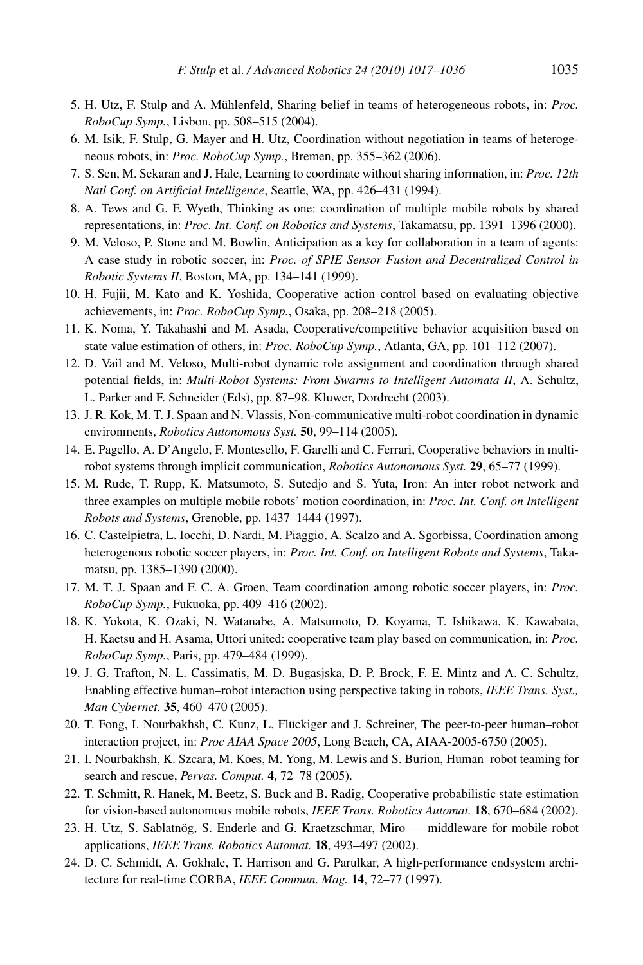- 5. H. Utz, F. Stulp and A. Mühlenfeld, Sharing belief in teams of heterogeneous robots, in: *Proc. RoboCup Symp.*, Lisbon, pp. 508–515 (2004).
- 6. M. Isik, F. Stulp, G. Mayer and H. Utz, Coordination without negotiation in teams of heterogeneous robots, in: *Proc. RoboCup Symp.*, Bremen, pp. 355–362 (2006).
- 7. S. Sen, M. Sekaran and J. Hale, Learning to coordinate without sharing information, in: *Proc. 12th Natl Conf. on Artificial Intelligence*, Seattle, WA, pp. 426–431 (1994).
- 8. A. Tews and G. F. Wyeth, Thinking as one: coordination of multiple mobile robots by shared representations, in: *Proc. Int. Conf. on Robotics and Systems*, Takamatsu, pp. 1391–1396 (2000).
- 9. M. Veloso, P. Stone and M. Bowlin, Anticipation as a key for collaboration in a team of agents: A case study in robotic soccer, in: *Proc. of SPIE Sensor Fusion and Decentralized Control in Robotic Systems II*, Boston, MA, pp. 134–141 (1999).
- 10. H. Fujii, M. Kato and K. Yoshida, Cooperative action control based on evaluating objective achievements, in: *Proc. RoboCup Symp.*, Osaka, pp. 208–218 (2005).
- 11. K. Noma, Y. Takahashi and M. Asada, Cooperative/competitive behavior acquisition based on state value estimation of others, in: *Proc. RoboCup Symp.*, Atlanta, GA, pp. 101–112 (2007).
- 12. D. Vail and M. Veloso, Multi-robot dynamic role assignment and coordination through shared potential fields, in: *Multi-Robot Systems: From Swarms to Intelligent Automata II*, A. Schultz, L. Parker and F. Schneider (Eds), pp. 87–98. Kluwer, Dordrecht (2003).
- 13. J. R. Kok, M. T. J. Spaan and N. Vlassis, Non-communicative multi-robot coordination in dynamic environments, *Robotics Autonomous Syst.* **50**, 99–114 (2005).
- 14. E. Pagello, A. D'Angelo, F. Montesello, F. Garelli and C. Ferrari, Cooperative behaviors in multirobot systems through implicit communication, *Robotics Autonomous Syst.* **29**, 65–77 (1999).
- 15. M. Rude, T. Rupp, K. Matsumoto, S. Sutedjo and S. Yuta, Iron: An inter robot network and three examples on multiple mobile robots' motion coordination, in: *Proc. Int. Conf. on Intelligent Robots and Systems*, Grenoble, pp. 1437–1444 (1997).
- 16. C. Castelpietra, L. Iocchi, D. Nardi, M. Piaggio, A. Scalzo and A. Sgorbissa, Coordination among heterogenous robotic soccer players, in: *Proc. Int. Conf. on Intelligent Robots and Systems*, Takamatsu, pp. 1385–1390 (2000).
- 17. M. T. J. Spaan and F. C. A. Groen, Team coordination among robotic soccer players, in: *Proc. RoboCup Symp.*, Fukuoka, pp. 409–416 (2002).
- 18. K. Yokota, K. Ozaki, N. Watanabe, A. Matsumoto, D. Koyama, T. Ishikawa, K. Kawabata, H. Kaetsu and H. Asama, Uttori united: cooperative team play based on communication, in: *Proc. RoboCup Symp.*, Paris, pp. 479–484 (1999).
- 19. J. G. Trafton, N. L. Cassimatis, M. D. Bugasjska, D. P. Brock, F. E. Mintz and A. C. Schultz, Enabling effective human–robot interaction using perspective taking in robots, *IEEE Trans. Syst., Man Cybernet.* **35**, 460–470 (2005).
- 20. T. Fong, I. Nourbakhsh, C. Kunz, L. Flückiger and J. Schreiner, The peer-to-peer human–robot interaction project, in: *Proc AIAA Space 2005*, Long Beach, CA, AIAA-2005-6750 (2005).
- 21. I. Nourbakhsh, K. Szcara, M. Koes, M. Yong, M. Lewis and S. Burion, Human–robot teaming for search and rescue, *Pervas. Comput.* **4**, 72–78 (2005).
- 22. T. Schmitt, R. Hanek, M. Beetz, S. Buck and B. Radig, Cooperative probabilistic state estimation for vision-based autonomous mobile robots, *IEEE Trans. Robotics Automat.* **18**, 670–684 (2002).
- 23. H. Utz, S. Sablatnög, S. Enderle and G. Kraetzschmar, Miro middleware for mobile robot applications, *IEEE Trans. Robotics Automat.* **18**, 493–497 (2002).
- 24. D. C. Schmidt, A. Gokhale, T. Harrison and G. Parulkar, A high-performance endsystem architecture for real-time CORBA, *IEEE Commun. Mag.* **14**, 72–77 (1997).